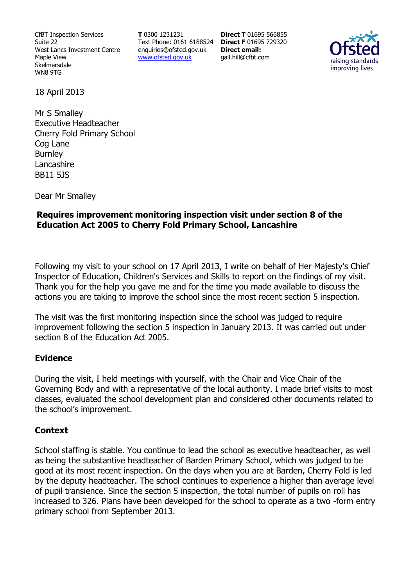CfBT Inspection Services Suite 22 West Lancs Investment Centre Maple View Skelmersdale WN8 9TG

**T** 0300 1231231 Text Phone: 0161 6188524 **Direct F** 01695 729320 enquiries@ofsted.gov.uk www.ofsted.gov.uk

**Direct T** 01695 566855 **Direct email:**  gail.hill@cfbt.com



18 April 2013

Mr S Smalley Executive Headteacher Cherry Fold Primary School Cog Lane **Burnley** Lancashire BB11 5JS

Dear Mr Smalley

## **Requires improvement monitoring inspection visit under section 8 of the Education Act 2005 to Cherry Fold Primary School, Lancashire**

Following my visit to your school on 17 April 2013, I write on behalf of Her Majesty's Chief Inspector of Education, Children's Services and Skills to report on the findings of my visit. Thank you for the help you gave me and for the time you made available to discuss the actions you are taking to improve the school since the most recent section 5 inspection.

The visit was the first monitoring inspection since the school was judged to require improvement following the section 5 inspection in January 2013. It was carried out under section 8 of the Education Act 2005.

# **Evidence**

During the visit, I held meetings with yourself, with the Chair and Vice Chair of the Governing Body and with a representative of the local authority. I made brief visits to most classes, evaluated the school development plan and considered other documents related to the school's improvement.

#### **Context**

School staffing is stable. You continue to lead the school as executive headteacher, as well as being the substantive headteacher of Barden Primary School, which was judged to be good at its most recent inspection. On the days when you are at Barden, Cherry Fold is led by the deputy headteacher. The school continues to experience a higher than average level of pupil transience. Since the section 5 inspection, the total number of pupils on roll has increased to 326. Plans have been developed for the school to operate as a two -form entry primary school from September 2013.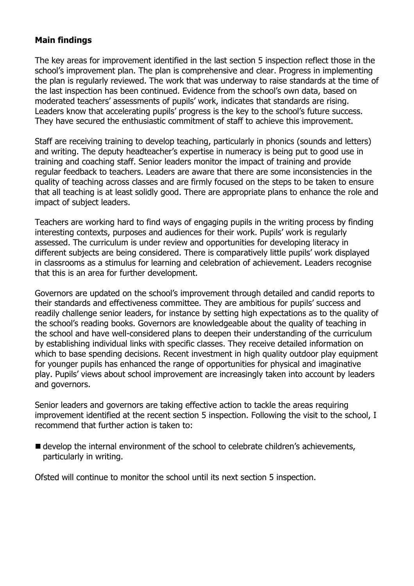# **Main findings**

The key areas for improvement identified in the last section 5 inspection reflect those in the school's improvement plan. The plan is comprehensive and clear. Progress in implementing the plan is regularly reviewed. The work that was underway to raise standards at the time of the last inspection has been continued. Evidence from the school's own data, based on moderated teachers' assessments of pupils' work, indicates that standards are rising. Leaders know that accelerating pupils' progress is the key to the school's future success. They have secured the enthusiastic commitment of staff to achieve this improvement.

Staff are receiving training to develop teaching, particularly in phonics (sounds and letters) and writing. The deputy headteacher's expertise in numeracy is being put to good use in training and coaching staff. Senior leaders monitor the impact of training and provide regular feedback to teachers. Leaders are aware that there are some inconsistencies in the quality of teaching across classes and are firmly focused on the steps to be taken to ensure that all teaching is at least solidly good. There are appropriate plans to enhance the role and impact of subject leaders.

Teachers are working hard to find ways of engaging pupils in the writing process by finding interesting contexts, purposes and audiences for their work. Pupils' work is regularly assessed. The curriculum is under review and opportunities for developing literacy in different subjects are being considered. There is comparatively little pupils' work displayed in classrooms as a stimulus for learning and celebration of achievement. Leaders recognise that this is an area for further development.

Governors are updated on the school's improvement through detailed and candid reports to their standards and effectiveness committee. They are ambitious for pupils' success and readily challenge senior leaders, for instance by setting high expectations as to the quality of the school's reading books. Governors are knowledgeable about the quality of teaching in the school and have well-considered plans to deepen their understanding of the curriculum by establishing individual links with specific classes. They receive detailed information on which to base spending decisions. Recent investment in high quality outdoor play equipment for younger pupils has enhanced the range of opportunities for physical and imaginative play. Pupils' views about school improvement are increasingly taken into account by leaders and governors.

Senior leaders and governors are taking effective action to tackle the areas requiring improvement identified at the recent section 5 inspection. Following the visit to the school, I recommend that further action is taken to:

■ develop the internal environment of the school to celebrate children's achievements, particularly in writing.

Ofsted will continue to monitor the school until its next section 5 inspection.